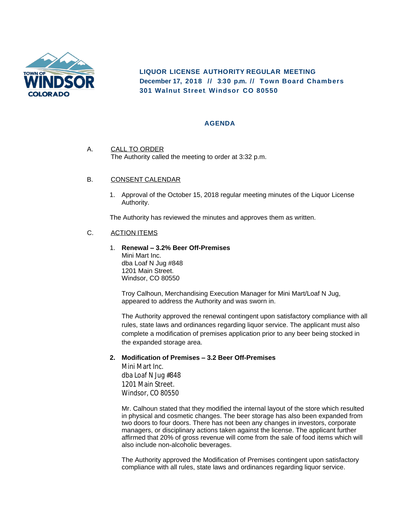

**LIQUOR LICENSE AUTHORITY REGULAR MEETING December 17, 2018 // 3:30 p.m. // Town Board Chambers 301 Walnut Street, Windsor CO 80550**

## **AGENDA**

A. CALL TO ORDER The Authority called the meeting to order at 3:32 p.m.

## B. CONSENT CALENDAR

1. Approval of the October 15, 2018 regular meeting minutes of the Liquor License Authority.

The Authority has reviewed the minutes and approves them as written.

## C. ACTION ITEMS

1. **Renewal – 3.2% Beer Off-Premises** Mini Mart Inc. dba Loaf N Jug #848 1201 Main Street. Windsor, CO 80550

Troy Calhoun, Merchandising Execution Manager for Mini Mart/Loaf N Jug, appeared to address the Authority and was sworn in.

The Authority approved the renewal contingent upon satisfactory compliance with all rules, state laws and ordinances regarding liquor service. The applicant must also complete a modification of premises application prior to any beer being stocked in the expanded storage area.

## **2. Modification of Premises – 3.2 Beer Off-Premises**

Mini Mart Inc. dba Loaf N Jug #848 1201 Main Street. Windsor, CO 80550

Mr. Calhoun stated that they modified the internal layout of the store which resulted in physical and cosmetic changes. The beer storage has also been expanded from two doors to four doors. There has not been any changes in investors, corporate managers, or disciplinary actions taken against the license. The applicant further affirmed that 20% of gross revenue will come from the sale of food items which will also include non-alcoholic beverages.

The Authority approved the Modification of Premises contingent upon satisfactory compliance with all rules, state laws and ordinances regarding liquor service.